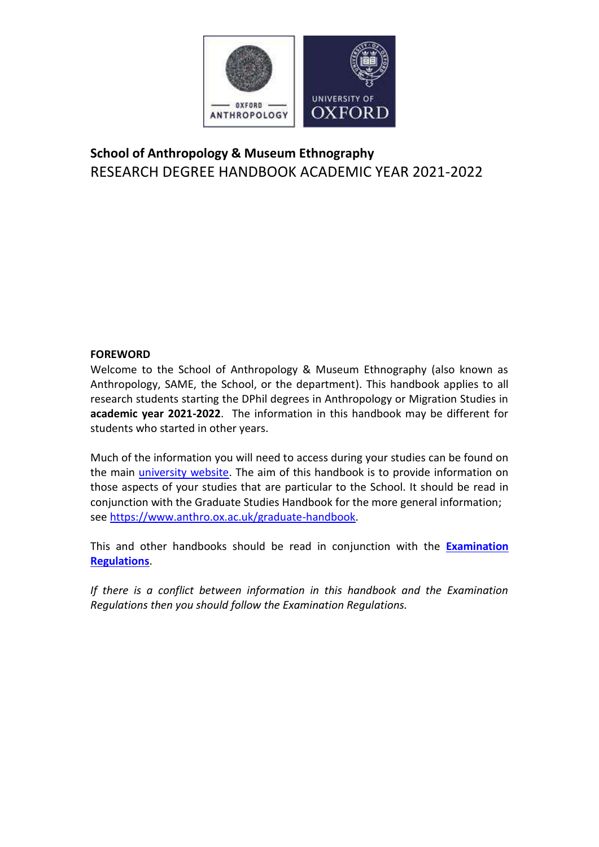

# **School of Anthropology & Museum Ethnography** RESEARCH DEGREE HANDBOOK ACADEMIC YEAR 2021-2022

### **FOREWORD**

Welcome to the School of Anthropology & Museum Ethnography (also known as Anthropology, SAME, the School, or the department). This handbook applies to all research students starting the DPhil degrees in Anthropology or Migration Studies in **academic year 2021-2022**. The information in this handbook may be different for students who started in other years.

Much of the information you will need to access during your studies can be found on the main *university website*. The aim of this handbook is to provide information on those aspects of your studies that are particular to the School. It should be read in conjunction with the Graduate Studies Handbook for the more general information; see [https://www.anthro.ox.ac.uk/graduate-handbook.](https://www.anthro.ox.ac.uk/graduate-handbook)

This and other handbooks should be read in conjunction with the **[Examination](http://www.admin.ox.ac.uk/examregs/)  [Regulations](http://www.admin.ox.ac.uk/examregs/)**.

*If there is a conflict between information in this handbook and the Examination Regulations then you should follow the Examination Regulations.*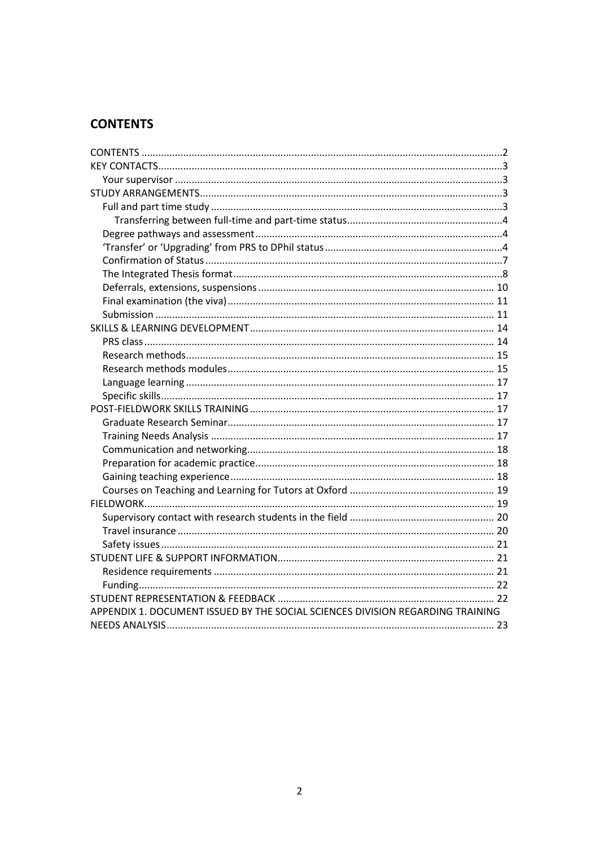# <span id="page-1-0"></span>**CONTENTS**

| APPENDIX 1. DOCUMENT ISSUED BY THE SOCIAL SCIENCES DIVISION REGARDING TRAINING |  |
|--------------------------------------------------------------------------------|--|
|                                                                                |  |
|                                                                                |  |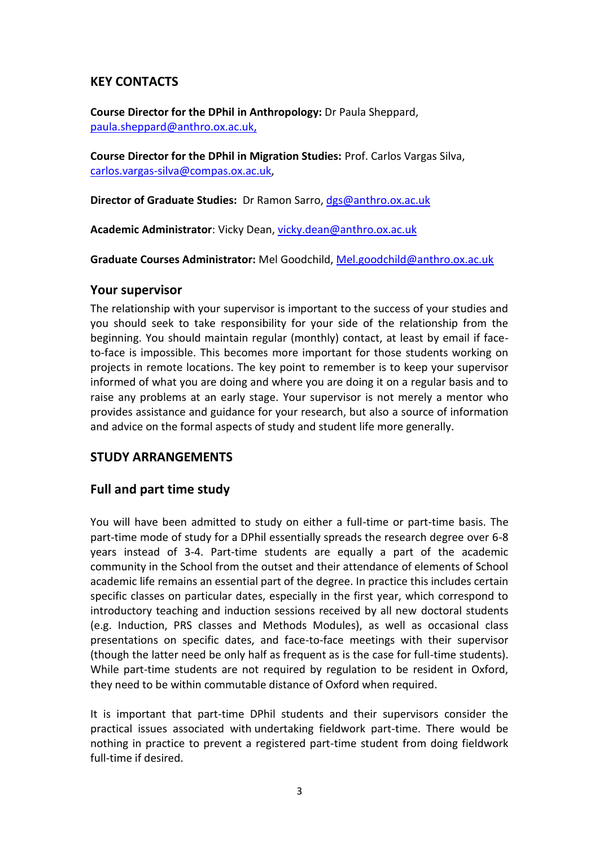# <span id="page-2-0"></span>**KEY CONTACTS**

**Course Director for the DPhil in Anthropology:** Dr Paula Sheppard, paula.sheppar[d@anthro.ox.ac.uk,](mailto:elisabeth.hsu@anthro.ox.ac.uk)

**Course Director for the DPhil in Migration Studies:** Prof. Carlos Vargas Silva, [carlos.vargas-silva@compas.ox.ac.uk,](mailto:carlos.vargas-silva@compas.ox.ac.uk)

**Director of Graduate Studies:** Dr Ramon Sarro, [dgs@anthro.ox.ac.uk](mailto:dgs@anthro.ox.ac.uk)

**Academic Administrator**: Vicky Dean, [vicky.dean@anthro.ox.ac.uk](mailto:vicky.dean@anthro.ox.ac.uk)

**Graduate Courses Administrator:** Mel Goodchild, [Mel.goodchild@anthro.ox.ac.uk](mailto:Mel.goodchild@anthro.ox.ac.uk)

#### <span id="page-2-1"></span>**Your supervisor**

The relationship with your supervisor is important to the success of your studies and you should seek to take responsibility for your side of the relationship from the beginning. You should maintain regular (monthly) contact, at least by email if faceto-face is impossible. This becomes more important for those students working on projects in remote locations. The key point to remember is to keep your supervisor informed of what you are doing and where you are doing it on a regular basis and to raise any problems at an early stage. Your supervisor is not merely a mentor who provides assistance and guidance for your research, but also a source of information and advice on the formal aspects of study and student life more generally.

# <span id="page-2-2"></span>**STUDY ARRANGEMENTS**

# <span id="page-2-3"></span>**Full and part time study**

You will have been admitted to study on either a full-time or part-time basis. The part-time mode of study for a DPhil essentially spreads the research degree over 6-8 years instead of 3-4. Part-time students are equally a part of the academic community in the School from the outset and their attendance of elements of School academic life remains an essential part of the degree. In practice this includes certain specific classes on particular dates, especially in the first year, which correspond to introductory teaching and induction sessions received by all new doctoral students (e.g. Induction, PRS classes and Methods Modules), as well as occasional class presentations on specific dates, and face-to-face meetings with their supervisor (though the latter need be only half as frequent as is the case for full-time students). While part-time students are not required by regulation to be resident in Oxford, they need to be within commutable distance of Oxford when required.

It is important that part-time DPhil students and their supervisors consider the practical issues associated with undertaking fieldwork part-time. There would be nothing in practice to prevent a registered part-time student from doing fieldwork full-time if desired.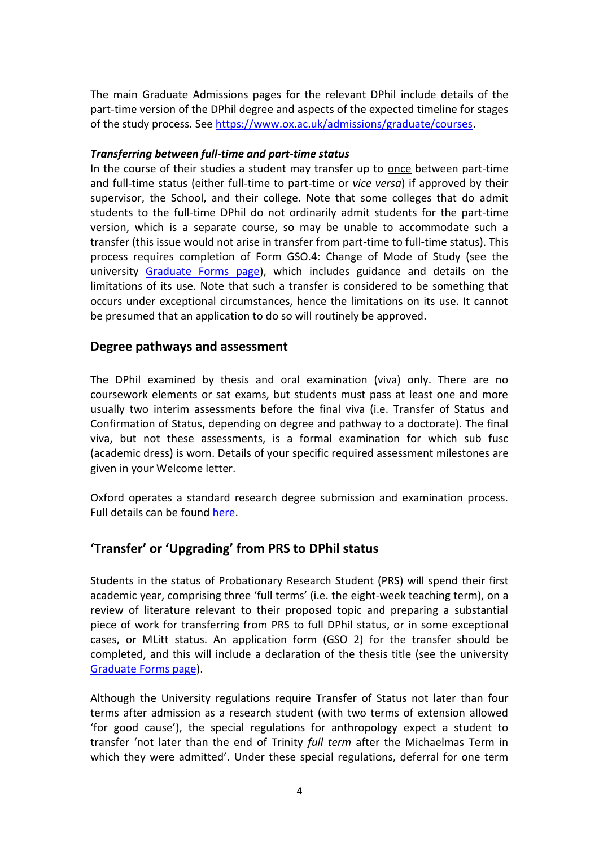The main Graduate Admissions pages for the relevant DPhil include details of the part-time version of the DPhil degree and aspects of the expected timeline for stages of the study process. See [https://www.ox.ac.uk/admissions/graduate/courses.](https://www.ox.ac.uk/admissions/graduate/courses)

#### <span id="page-3-0"></span>*Transferring between full-time and part-time status*

In the course of their studies a student may transfer up to once between part-time and full-time status (either full-time to part-time or *vice versa*) if approved by their supervisor, the School, and their college. Note that some colleges that do admit students to the full-time DPhil do not ordinarily admit students for the part-time version, which is a separate course, so may be unable to accommodate such a transfer (this issue would not arise in transfer from part-time to full-time status). This process requires completion of Form GSO.4: Change of Mode of Study (see the university [Graduate Forms page\)](https://www.ox.ac.uk/students/academic/guidance/graduate/progression), which includes guidance and details on the limitations of its use. Note that such a transfer is considered to be something that occurs under exceptional circumstances, hence the limitations on its use. It cannot be presumed that an application to do so will routinely be approved.

### <span id="page-3-1"></span>**Degree pathways and assessment**

The DPhil examined by thesis and oral examination (viva) only. There are no coursework elements or sat exams, but students must pass at least one and more usually two interim assessments before the final viva (i.e. Transfer of Status and Confirmation of Status, depending on degree and pathway to a doctorate). The final viva, but not these assessments, is a formal examination for which sub fusc (academic dress) is worn. Details of your specific required assessment milestones are given in your Welcome letter.

Oxford operates a standard research degree submission and examination process. Full details can be found [here.](https://www.ox.ac.uk/students/academic/exams/research)

# <span id="page-3-2"></span>**'Transfer' or 'Upgrading' from PRS to DPhil status**

Students in the status of Probationary Research Student (PRS) will spend their first academic year, comprising three 'full terms' (i.e. the eight-week teaching term), on a review of literature relevant to their proposed topic and preparing a substantial piece of work for transferring from PRS to full DPhil status, or in some exceptional cases, or MLitt status. An application form (GSO 2) for the transfer should be completed, and this will include a declaration of the thesis title (see the university [Graduate Forms page\)](https://www.ox.ac.uk/students/academic/guidance/graduate/progression).

Although the University regulations require Transfer of Status not later than four terms after admission as a research student (with two terms of extension allowed 'for good cause'), the special regulations for anthropology expect a student to transfer 'not later than the end of Trinity *full term* after the Michaelmas Term in which they were admitted'. Under these special regulations, deferral for one term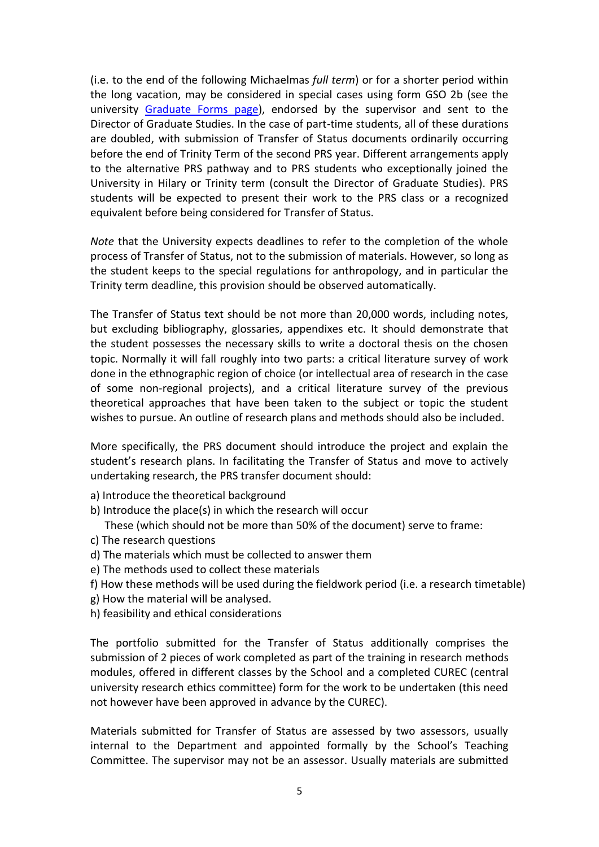(i.e. to the end of the following Michaelmas *full term*) or for a shorter period within the long vacation, may be considered in special cases using form GSO 2b (see the university [Graduate Forms page\)](https://www.ox.ac.uk/students/academic/guidance/graduate/progression), endorsed by the supervisor and sent to the Director of Graduate Studies. In the case of part-time students, all of these durations are doubled, with submission of Transfer of Status documents ordinarily occurring before the end of Trinity Term of the second PRS year. Different arrangements apply to the alternative PRS pathway and to PRS students who exceptionally joined the University in Hilary or Trinity term (consult the Director of Graduate Studies). PRS students will be expected to present their work to the PRS class or a recognized equivalent before being considered for Transfer of Status.

*Note* that the University expects deadlines to refer to the completion of the whole process of Transfer of Status, not to the submission of materials. However, so long as the student keeps to the special regulations for anthropology, and in particular the Trinity term deadline, this provision should be observed automatically.

The Transfer of Status text should be not more than 20,000 words, including notes, but excluding bibliography, glossaries, appendixes etc. It should demonstrate that the student possesses the necessary skills to write a doctoral thesis on the chosen topic. Normally it will fall roughly into two parts: a critical literature survey of work done in the ethnographic region of choice (or intellectual area of research in the case of some non-regional projects), and a critical literature survey of the previous theoretical approaches that have been taken to the subject or topic the student wishes to pursue. An outline of research plans and methods should also be included.

More specifically, the PRS document should introduce the project and explain the student's research plans. In facilitating the Transfer of Status and move to actively undertaking research, the PRS transfer document should:

- a) Introduce the theoretical background
- b) Introduce the place(s) in which the research will occur
	- These (which should not be more than 50% of the document) serve to frame:
- c) The research questions
- d) The materials which must be collected to answer them
- e) The methods used to collect these materials
- f) How these methods will be used during the fieldwork period (i.e. a research timetable)
- g) How the material will be analysed.
- h) feasibility and ethical considerations

The portfolio submitted for the Transfer of Status additionally comprises the submission of 2 pieces of work completed as part of the training in research methods modules, offered in different classes by the School and a completed CUREC (central university research ethics committee) form for the work to be undertaken (this need not however have been approved in advance by the CUREC).

Materials submitted for Transfer of Status are assessed by two assessors, usually internal to the Department and appointed formally by the School's Teaching Committee. The supervisor may not be an assessor. Usually materials are submitted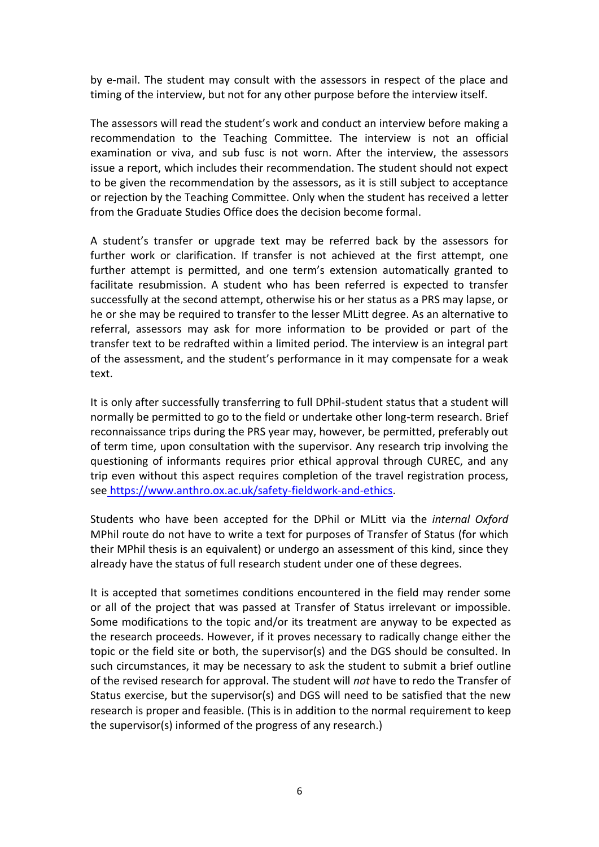by e-mail. The student may consult with the assessors in respect of the place and timing of the interview, but not for any other purpose before the interview itself.

The assessors will read the student's work and conduct an interview before making a recommendation to the Teaching Committee. The interview is not an official examination or viva, and sub fusc is not worn. After the interview, the assessors issue a report, which includes their recommendation. The student should not expect to be given the recommendation by the assessors, as it is still subject to acceptance or rejection by the Teaching Committee. Only when the student has received a letter from the Graduate Studies Office does the decision become formal.

A student's transfer or upgrade text may be referred back by the assessors for further work or clarification. If transfer is not achieved at the first attempt, one further attempt is permitted, and one term's extension automatically granted to facilitate resubmission. A student who has been referred is expected to transfer successfully at the second attempt, otherwise his or her status as a PRS may lapse, or he or she may be required to transfer to the lesser MLitt degree. As an alternative to referral, assessors may ask for more information to be provided or part of the transfer text to be redrafted within a limited period. The interview is an integral part of the assessment, and the student's performance in it may compensate for a weak text.

It is only after successfully transferring to full DPhil-student status that a student will normally be permitted to go to the field or undertake other long-term research. Brief reconnaissance trips during the PRS year may, however, be permitted, preferably out of term time, upon consultation with the supervisor. Any research trip involving the questioning of informants requires prior ethical approval through CUREC, and any trip even without this aspect requires completion of the travel registration process, see [https://www.anthro.ox.ac.uk/safety-fieldwork-and-ethics.](https://www.anthro.ox.ac.uk/safety-fieldwork-and-ethics)

Students who have been accepted for the DPhil or MLitt via the *internal Oxford* MPhil route do not have to write a text for purposes of Transfer of Status (for which their MPhil thesis is an equivalent) or undergo an assessment of this kind, since they already have the status of full research student under one of these degrees.

It is accepted that sometimes conditions encountered in the field may render some or all of the project that was passed at Transfer of Status irrelevant or impossible. Some modifications to the topic and/or its treatment are anyway to be expected as the research proceeds. However, if it proves necessary to radically change either the topic or the field site or both, the supervisor(s) and the DGS should be consulted. In such circumstances, it may be necessary to ask the student to submit a brief outline of the revised research for approval. The student will *not* have to redo the Transfer of Status exercise, but the supervisor(s) and DGS will need to be satisfied that the new research is proper and feasible. (This is in addition to the normal requirement to keep the supervisor(s) informed of the progress of any research.)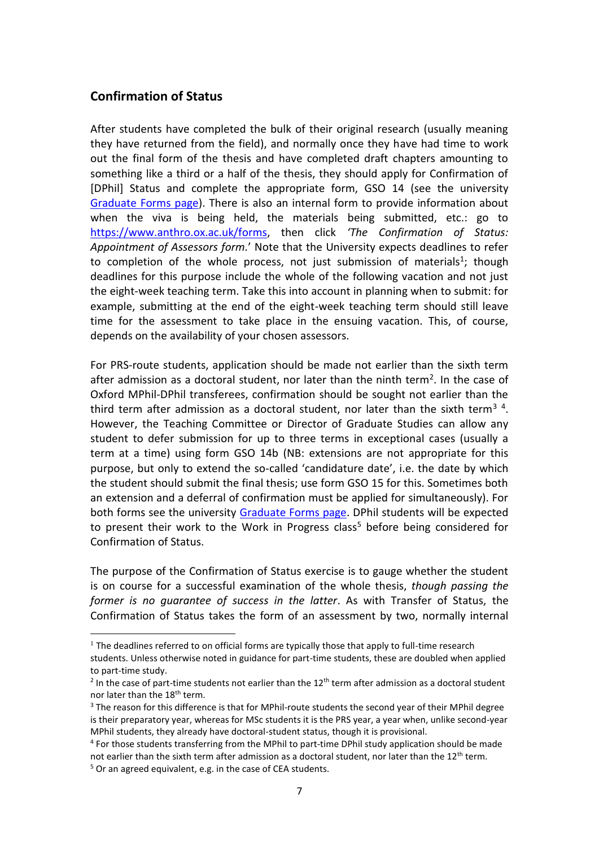### <span id="page-6-0"></span>**Confirmation of Status**

 $\overline{a}$ 

After students have completed the bulk of their original research (usually meaning they have returned from the field), and normally once they have had time to work out the final form of the thesis and have completed draft chapters amounting to something like a third or a half of the thesis, they should apply for Confirmation of [DPhil] Status and complete the appropriate form, GSO 14 (see the university [Graduate Forms page\)](https://www.ox.ac.uk/students/academic/guidance/graduate/progression). There is also an internal form to provide information about when the viva is being held, the materials being submitted, etc.: go to [https://www.anthro.ox.ac.uk/forms,](https://www.anthro.ox.ac.uk/forms) then click *'The Confirmation of Status: Appointment of Assessors form.*' Note that the University expects deadlines to refer to completion of the whole process, not just submission of materials<sup>1</sup>; though deadlines for this purpose include the whole of the following vacation and not just the eight-week teaching term. Take this into account in planning when to submit: for example, submitting at the end of the eight-week teaching term should still leave time for the assessment to take place in the ensuing vacation. This, of course, depends on the availability of your chosen assessors.

For PRS-route students, application should be made not earlier than the sixth term after admission as a doctoral student, nor later than the ninth term<sup>2</sup>. In the case of Oxford MPhil-DPhil transferees, confirmation should be sought not earlier than the third term after admission as a doctoral student, nor later than the sixth term<sup>3</sup> <sup>4</sup>. However, the Teaching Committee or Director of Graduate Studies can allow any student to defer submission for up to three terms in exceptional cases (usually a term at a time) using form GSO 14b (NB: extensions are not appropriate for this purpose, but only to extend the so-called 'candidature date', i.e. the date by which the student should submit the final thesis; use form GSO 15 for this. Sometimes both an extension and a deferral of confirmation must be applied for simultaneously). For both forms see the university [Graduate Forms page.](https://www.ox.ac.uk/students/academic/guidance/graduate/progression) DPhil students will be expected to present their work to the Work in Progress class<sup>5</sup> before being considered for Confirmation of Status.

The purpose of the Confirmation of Status exercise is to gauge whether the student is on course for a successful examination of the whole thesis, *though passing the former is no guarantee of success in the latter*. As with Transfer of Status, the Confirmation of Status takes the form of an assessment by two, normally internal

<sup>&</sup>lt;sup>1</sup> The deadlines referred to on official forms are typically those that apply to full-time research students. Unless otherwise noted in guidance for part-time students, these are doubled when applied to part-time study.

 $2$  In the case of part-time students not earlier than the 12<sup>th</sup> term after admission as a doctoral student nor later than the 18<sup>th</sup> term.

<sup>&</sup>lt;sup>3</sup> The reason for this difference is that for MPhil-route students the second year of their MPhil degree is their preparatory year, whereas for MSc students it is the PRS year, a year when, unlike second-year MPhil students, they already have doctoral-student status, though it is provisional.

<sup>4</sup> For those students transferring from the MPhil to part-time DPhil study application should be made not earlier than the sixth term after admission as a doctoral student, nor later than the  $12<sup>th</sup>$  term. <sup>5</sup> Or an agreed equivalent, e.g. in the case of CEA students.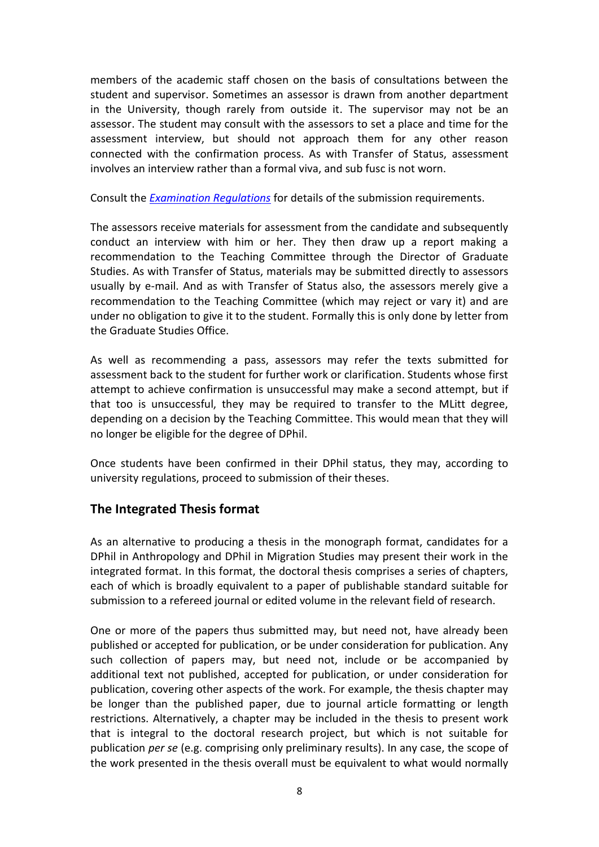members of the academic staff chosen on the basis of consultations between the student and supervisor. Sometimes an assessor is drawn from another department in the University, though rarely from outside it. The supervisor may not be an assessor. The student may consult with the assessors to set a place and time for the assessment interview, but should not approach them for any other reason connected with the confirmation process. As with Transfer of Status, assessment involves an interview rather than a formal viva, and sub fusc is not worn.

Consult the *[Examination Regulations](https://examregs.admin.ox.ac.uk/)* for details of the submission requirements.

The assessors receive materials for assessment from the candidate and subsequently conduct an interview with him or her. They then draw up a report making a recommendation to the Teaching Committee through the Director of Graduate Studies. As with Transfer of Status, materials may be submitted directly to assessors usually by e-mail. And as with Transfer of Status also, the assessors merely give a recommendation to the Teaching Committee (which may reject or vary it) and are under no obligation to give it to the student. Formally this is only done by letter from the Graduate Studies Office.

As well as recommending a pass, assessors may refer the texts submitted for assessment back to the student for further work or clarification. Students whose first attempt to achieve confirmation is unsuccessful may make a second attempt, but if that too is unsuccessful, they may be required to transfer to the MLitt degree, depending on a decision by the Teaching Committee. This would mean that they will no longer be eligible for the degree of DPhil.

Once students have been confirmed in their DPhil status, they may, according to university regulations, proceed to submission of their theses.

# <span id="page-7-0"></span>**The Integrated Thesis format**

As an alternative to producing a thesis in the monograph format, candidates for a DPhil in Anthropology and DPhil in Migration Studies may present their work in the integrated format. In this format, the doctoral thesis comprises a series of chapters, each of which is broadly equivalent to a paper of publishable standard suitable for submission to a refereed journal or edited volume in the relevant field of research.

One or more of the papers thus submitted may, but need not, have already been published or accepted for publication, or be under consideration for publication. Any such collection of papers may, but need not, include or be accompanied by additional text not published, accepted for publication, or under consideration for publication, covering other aspects of the work. For example, the thesis chapter may be longer than the published paper, due to journal article formatting or length restrictions. Alternatively, a chapter may be included in the thesis to present work that is integral to the doctoral research project, but which is not suitable for publication *per se* (e.g. comprising only preliminary results). In any case, the scope of the work presented in the thesis overall must be equivalent to what would normally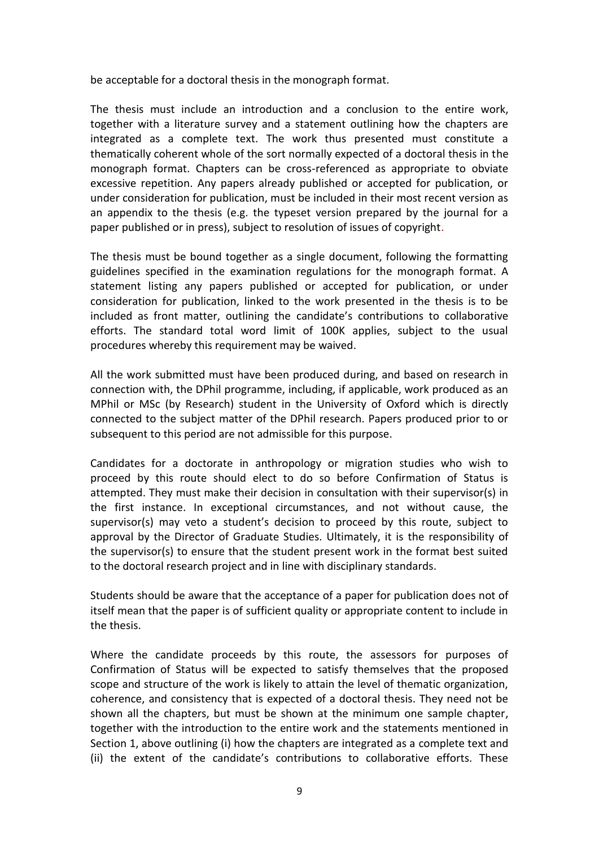be acceptable for a doctoral thesis in the monograph format.

The thesis must include an introduction and a conclusion to the entire work, together with a literature survey and a statement outlining how the chapters are integrated as a complete text. The work thus presented must constitute a thematically coherent whole of the sort normally expected of a doctoral thesis in the monograph format. Chapters can be cross-referenced as appropriate to obviate excessive repetition. Any papers already published or accepted for publication, or under consideration for publication, must be included in their most recent version as an appendix to the thesis (e.g. the typeset version prepared by the journal for a paper published or in press), subject to resolution of issues of copyright.

The thesis must be bound together as a single document, following the formatting guidelines specified in the examination regulations for the monograph format. A statement listing any papers published or accepted for publication, or under consideration for publication, linked to the work presented in the thesis is to be included as front matter, outlining the candidate's contributions to collaborative efforts. The standard total word limit of 100K applies, subject to the usual procedures whereby this requirement may be waived.

All the work submitted must have been produced during, and based on research in connection with, the DPhil programme, including, if applicable, work produced as an MPhil or MSc (by Research) student in the University of Oxford which is directly connected to the subject matter of the DPhil research. Papers produced prior to or subsequent to this period are not admissible for this purpose.

Candidates for a doctorate in anthropology or migration studies who wish to proceed by this route should elect to do so before Confirmation of Status is attempted. They must make their decision in consultation with their supervisor(s) in the first instance. In exceptional circumstances, and not without cause, the supervisor(s) may veto a student's decision to proceed by this route, subject to approval by the Director of Graduate Studies. Ultimately, it is the responsibility of the supervisor(s) to ensure that the student present work in the format best suited to the doctoral research project and in line with disciplinary standards.

Students should be aware that the acceptance of a paper for publication does not of itself mean that the paper is of sufficient quality or appropriate content to include in the thesis.

Where the candidate proceeds by this route, the assessors for purposes of Confirmation of Status will be expected to satisfy themselves that the proposed scope and structure of the work is likely to attain the level of thematic organization, coherence, and consistency that is expected of a doctoral thesis. They need not be shown all the chapters, but must be shown at the minimum one sample chapter, together with the introduction to the entire work and the statements mentioned in Section 1, above outlining (i) how the chapters are integrated as a complete text and (ii) the extent of the candidate's contributions to collaborative efforts. These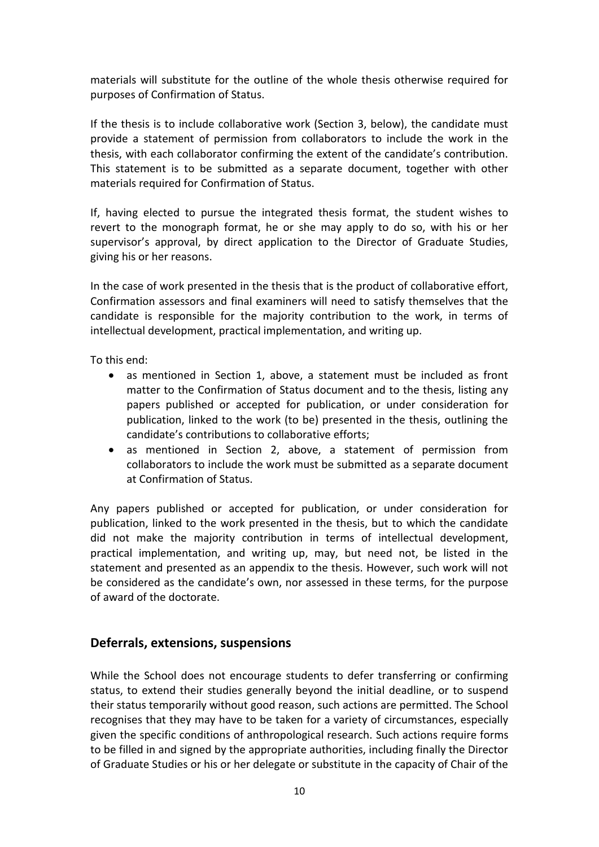materials will substitute for the outline of the whole thesis otherwise required for purposes of Confirmation of Status.

If the thesis is to include collaborative work (Section 3, below), the candidate must provide a statement of permission from collaborators to include the work in the thesis, with each collaborator confirming the extent of the candidate's contribution. This statement is to be submitted as a separate document, together with other materials required for Confirmation of Status.

If, having elected to pursue the integrated thesis format, the student wishes to revert to the monograph format, he or she may apply to do so, with his or her supervisor's approval, by direct application to the Director of Graduate Studies, giving his or her reasons.

In the case of work presented in the thesis that is the product of collaborative effort, Confirmation assessors and final examiners will need to satisfy themselves that the candidate is responsible for the majority contribution to the work, in terms of intellectual development, practical implementation, and writing up.

To this end:

- as mentioned in Section 1, above, a statement must be included as front matter to the Confirmation of Status document and to the thesis, listing any papers published or accepted for publication, or under consideration for publication, linked to the work (to be) presented in the thesis, outlining the candidate's contributions to collaborative efforts;
- as mentioned in Section 2, above, a statement of permission from collaborators to include the work must be submitted as a separate document at Confirmation of Status.

Any papers published or accepted for publication, or under consideration for publication, linked to the work presented in the thesis, but to which the candidate did not make the majority contribution in terms of intellectual development, practical implementation, and writing up, may, but need not, be listed in the statement and presented as an appendix to the thesis. However, such work will not be considered as the candidate's own, nor assessed in these terms, for the purpose of award of the doctorate.

### <span id="page-9-0"></span>**Deferrals, extensions, suspensions**

While the School does not encourage students to defer transferring or confirming status, to extend their studies generally beyond the initial deadline, or to suspend their status temporarily without good reason, such actions are permitted. The School recognises that they may have to be taken for a variety of circumstances, especially given the specific conditions of anthropological research. Such actions require forms to be filled in and signed by the appropriate authorities, including finally the Director of Graduate Studies or his or her delegate or substitute in the capacity of Chair of the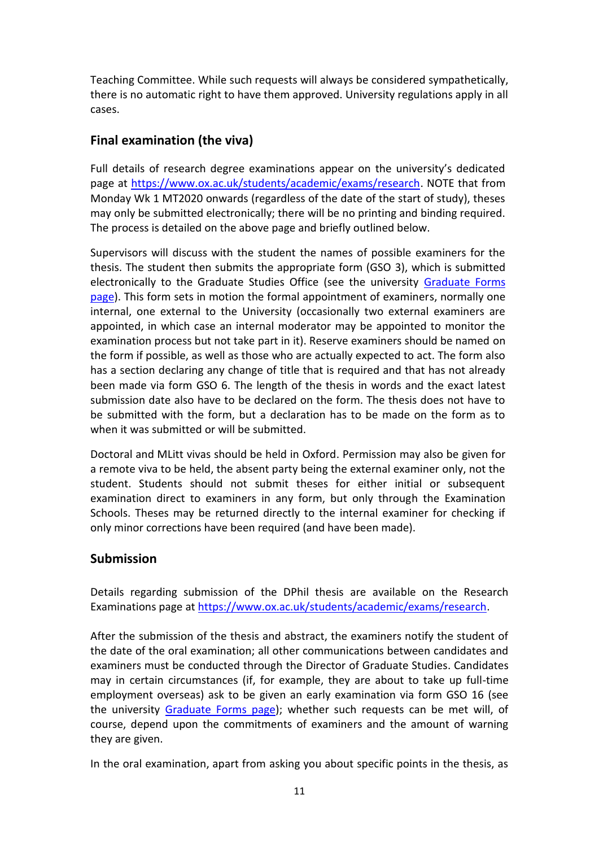Teaching Committee. While such requests will always be considered sympathetically, there is no automatic right to have them approved. University regulations apply in all cases.

# <span id="page-10-0"></span>**Final examination (the viva)**

Full details of research degree examinations appear on the university's dedicated page at [https://www.ox.ac.uk/students/academic/exams/research.](https://www.ox.ac.uk/students/academic/exams/research) NOTE that from Monday Wk 1 MT2020 onwards (regardless of the date of the start of study), theses may only be submitted electronically; there will be no printing and binding required. The process is detailed on the above page and briefly outlined below.

Supervisors will discuss with the student the names of possible examiners for the thesis. The student then submits the appropriate form (GSO 3), which is submitted electronically to the Graduate Studies Office (see the university [Graduate Forms](https://www.ox.ac.uk/students/academic/guidance/graduate/progression)  [page\)](https://www.ox.ac.uk/students/academic/guidance/graduate/progression). This form sets in motion the formal appointment of examiners, normally one internal, one external to the University (occasionally two external examiners are appointed, in which case an internal moderator may be appointed to monitor the examination process but not take part in it). Reserve examiners should be named on the form if possible, as well as those who are actually expected to act. The form also has a section declaring any change of title that is required and that has not already been made via form GSO 6. The length of the thesis in words and the exact latest submission date also have to be declared on the form. The thesis does not have to be submitted with the form, but a declaration has to be made on the form as to when it was submitted or will be submitted.

Doctoral and MLitt vivas should be held in Oxford. Permission may also be given for a remote viva to be held, the absent party being the external examiner only, not the student. Students should not submit theses for either initial or subsequent examination direct to examiners in any form, but only through the Examination Schools. Theses may be returned directly to the internal examiner for checking if only minor corrections have been required (and have been made).

# <span id="page-10-1"></span>**Submission**

Details regarding submission of the DPhil thesis are available on the Research Examinations page a[t https://www.ox.ac.uk/students/academic/exams/research.](https://www.ox.ac.uk/students/academic/exams/research)

After the submission of the thesis and abstract, the examiners notify the student of the date of the oral examination; all other communications between candidates and examiners must be conducted through the Director of Graduate Studies. Candidates may in certain circumstances (if, for example, they are about to take up full-time employment overseas) ask to be given an early examination via form GSO 16 (see the university [Graduate Forms page\)](https://www.ox.ac.uk/students/academic/guidance/graduate/progression); whether such requests can be met will, of course, depend upon the commitments of examiners and the amount of warning they are given.

In the oral examination, apart from asking you about specific points in the thesis, as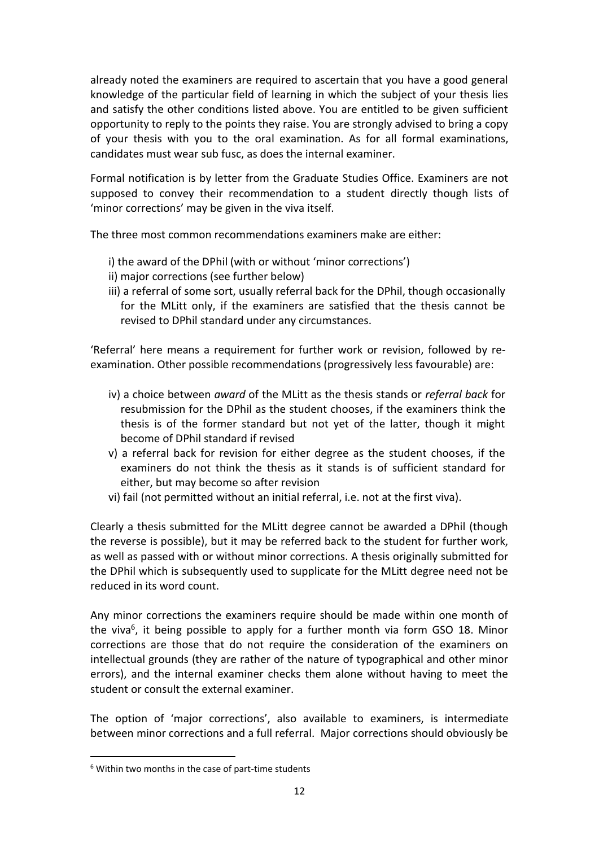already noted the examiners are required to ascertain that you have a good general knowledge of the particular field of learning in which the subject of your thesis lies and satisfy the other conditions listed above. You are entitled to be given sufficient opportunity to reply to the points they raise. You are strongly advised to bring a copy of your thesis with you to the oral examination. As for all formal examinations, candidates must wear sub fusc, as does the internal examiner.

Formal notification is by letter from the Graduate Studies Office. Examiners are not supposed to convey their recommendation to a student directly though lists of 'minor corrections' may be given in the viva itself.

The three most common recommendations examiners make are either:

- i) the award of the DPhil (with or without 'minor corrections')
- ii) major corrections (see further below)
- iii) a referral of some sort, usually referral back for the DPhil, though occasionally for the MLitt only, if the examiners are satisfied that the thesis cannot be revised to DPhil standard under any circumstances.

'Referral' here means a requirement for further work or revision, followed by reexamination. Other possible recommendations (progressively less favourable) are:

- iv) a choice between *award* of the MLitt as the thesis stands or *referral back* for resubmission for the DPhil as the student chooses, if the examiners think the thesis is of the former standard but not yet of the latter, though it might become of DPhil standard if revised
- v) a referral back for revision for either degree as the student chooses, if the examiners do not think the thesis as it stands is of sufficient standard for either, but may become so after revision
- vi) fail (not permitted without an initial referral, i.e. not at the first viva).

Clearly a thesis submitted for the MLitt degree cannot be awarded a DPhil (though the reverse is possible), but it may be referred back to the student for further work, as well as passed with or without minor corrections. A thesis originally submitted for the DPhil which is subsequently used to supplicate for the MLitt degree need not be reduced in its word count.

Any minor corrections the examiners require should be made within one month of the viva<sup>6</sup>, it being possible to apply for a further month via form GSO 18. Minor corrections are those that do not require the consideration of the examiners on intellectual grounds (they are rather of the nature of typographical and other minor errors), and the internal examiner checks them alone without having to meet the student or consult the external examiner.

The option of 'major corrections', also available to examiners, is intermediate between minor corrections and a full referral. Major corrections should obviously be

 $\overline{a}$ 

<sup>6</sup> Within two months in the case of part-time students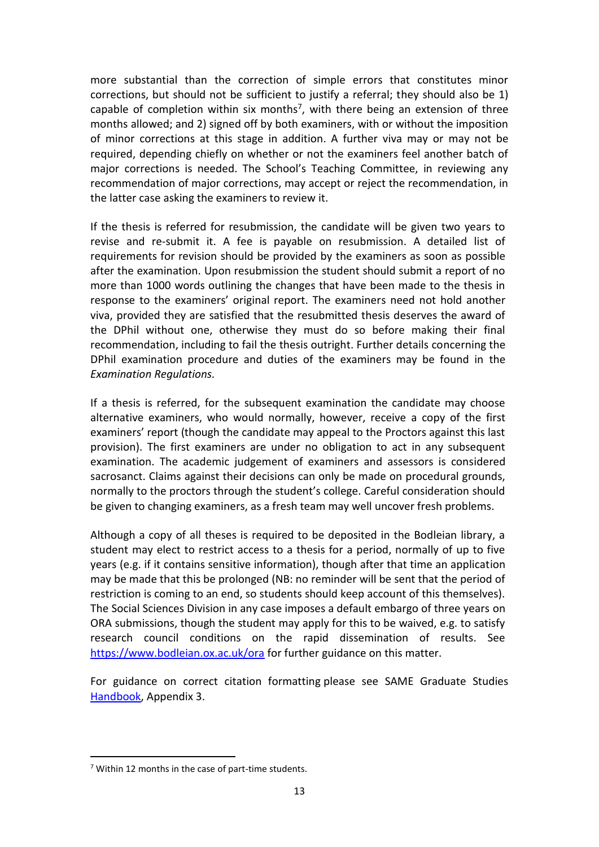more substantial than the correction of simple errors that constitutes minor corrections, but should not be sufficient to justify a referral; they should also be 1) capable of completion within six months<sup>7</sup>, with there being an extension of three months allowed; and 2) signed off by both examiners, with or without the imposition of minor corrections at this stage in addition. A further viva may or may not be required, depending chiefly on whether or not the examiners feel another batch of major corrections is needed. The School's Teaching Committee, in reviewing any recommendation of major corrections, may accept or reject the recommendation, in the latter case asking the examiners to review it.

If the thesis is referred for resubmission, the candidate will be given two years to revise and re-submit it. A fee is payable on resubmission. A detailed list of requirements for revision should be provided by the examiners as soon as possible after the examination. Upon resubmission the student should submit a report of no more than 1000 words outlining the changes that have been made to the thesis in response to the examiners' original report. The examiners need not hold another viva, provided they are satisfied that the resubmitted thesis deserves the award of the DPhil without one, otherwise they must do so before making their final recommendation, including to fail the thesis outright. Further details concerning the DPhil examination procedure and duties of the examiners may be found in the *Examination Regulations.* 

If a thesis is referred, for the subsequent examination the candidate may choose alternative examiners, who would normally, however, receive a copy of the first examiners' report (though the candidate may appeal to the Proctors against this last provision). The first examiners are under no obligation to act in any subsequent examination. The academic judgement of examiners and assessors is considered sacrosanct. Claims against their decisions can only be made on procedural grounds, normally to the proctors through the student's college. Careful consideration should be given to changing examiners, as a fresh team may well uncover fresh problems.

Although a copy of all theses is required to be deposited in the Bodleian library, a student may elect to restrict access to a thesis for a period, normally of up to five years (e.g. if it contains sensitive information), though after that time an application may be made that this be prolonged (NB: no reminder will be sent that the period of restriction is coming to an end, so students should keep account of this themselves). The Social Sciences Division in any case imposes a default embargo of three years on ORA submissions, though the student may apply for this to be waived, e.g. to satisfy research council conditions on the rapid dissemination of results. See <https://www.bodleian.ox.ac.uk/ora> for further guidance on this matter.

For guidance on correct citation formatting please see SAME Graduate Studies Handbook</u>, Appendix 3.

 $\overline{a}$ 

 $7$  Within 12 months in the case of part-time students.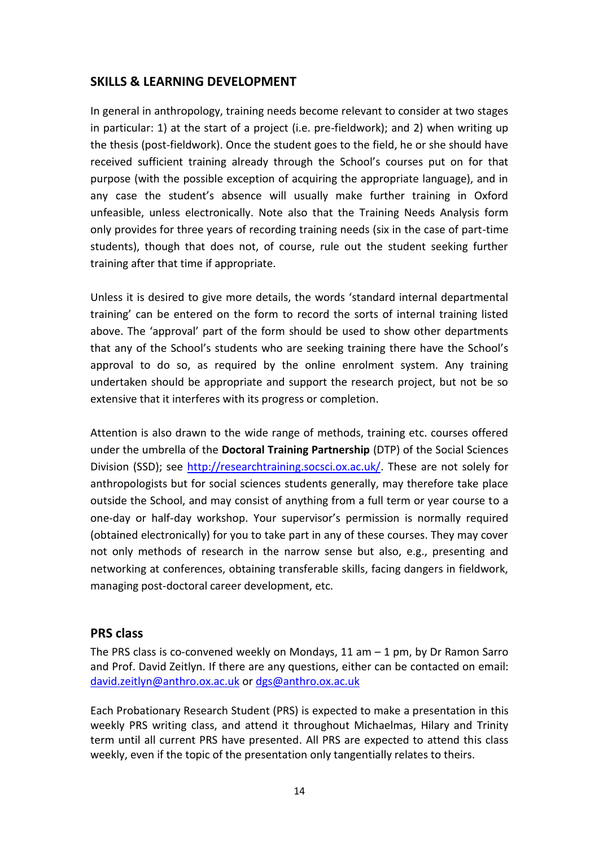# <span id="page-13-0"></span>**SKILLS & LEARNING DEVELOPMENT**

In general in anthropology, training needs become relevant to consider at two stages in particular: 1) at the start of a project (i.e. pre-fieldwork); and 2) when writing up the thesis (post-fieldwork). Once the student goes to the field, he or she should have received sufficient training already through the School's courses put on for that purpose (with the possible exception of acquiring the appropriate language), and in any case the student's absence will usually make further training in Oxford unfeasible, unless electronically. Note also that the Training Needs Analysis form only provides for three years of recording training needs (six in the case of part-time students), though that does not, of course, rule out the student seeking further training after that time if appropriate.

Unless it is desired to give more details, the words 'standard internal departmental training' can be entered on the form to record the sorts of internal training listed above. The 'approval' part of the form should be used to show other departments that any of the School's students who are seeking training there have the School's approval to do so, as required by the online enrolment system. Any training undertaken should be appropriate and support the research project, but not be so extensive that it interferes with its progress or completion.

Attention is also drawn to the wide range of methods, training etc. courses offered under the umbrella of the **Doctoral Training Partnership** (DTP) of the Social Sciences Division (SSD); see [http://researchtraining.socsci.ox.ac.uk/.](http://researchtraining.socsci.ox.ac.uk/) These are not solely for anthropologists but for social sciences students generally, may therefore take place outside the School, and may consist of anything from a full term or year course to a one-day or half-day workshop. Your supervisor's permission is normally required (obtained electronically) for you to take part in any of these courses. They may cover not only methods of research in the narrow sense but also, e.g., presenting and networking at conferences, obtaining transferable skills, facing dangers in fieldwork, managing post-doctoral career development, etc.

### <span id="page-13-1"></span>**PRS class**

The PRS class is co-convened weekly on Mondays,  $11$  am  $-1$  pm, by Dr Ramon Sarro and Prof. David Zeitlyn. If there are any questions, either can be contacted on email: [david.zeitlyn@anthro.ox.ac.uk](mailto:david.zeitlyn@anthro.ox.ac.uk) or [dgs@anthro.ox.ac.uk](mailto:dgs@anthro.ox.ac.uk)

Each Probationary Research Student (PRS) is expected to make a presentation in this weekly PRS writing class, and attend it throughout Michaelmas, Hilary and Trinity term until all current PRS have presented. All PRS are expected to attend this class weekly, even if the topic of the presentation only tangentially relates to theirs.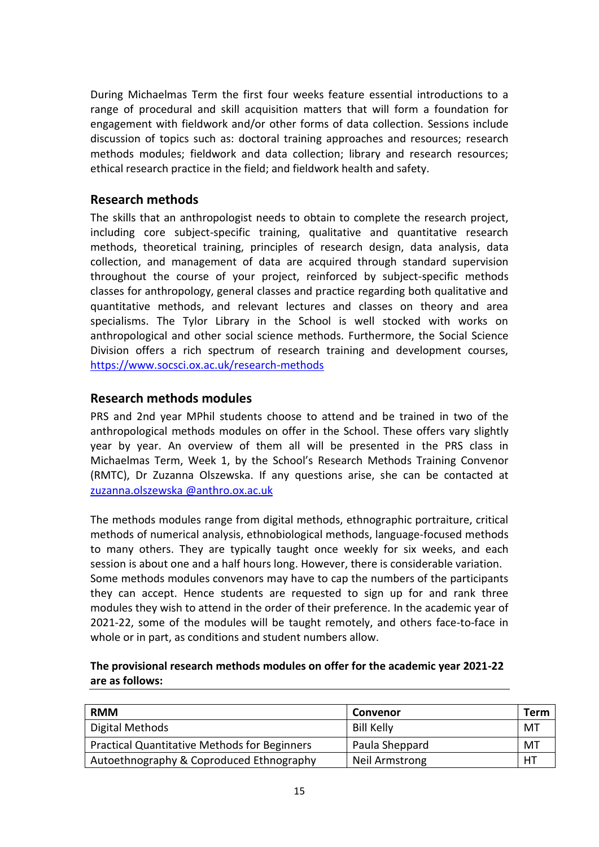During Michaelmas Term the first four weeks feature essential introductions to a range of procedural and skill acquisition matters that will form a foundation for engagement with fieldwork and/or other forms of data collection. Sessions include discussion of topics such as: doctoral training approaches and resources; research methods modules; fieldwork and data collection; library and research resources; ethical research practice in the field; and fieldwork health and safety.

### <span id="page-14-0"></span>**Research methods**

The skills that an anthropologist needs to obtain to complete the research project, including core subject-specific training, qualitative and quantitative research methods, theoretical training, principles of research design, data analysis, data collection, and management of data are acquired through standard supervision throughout the course of your project, reinforced by subject-specific methods classes for anthropology, general classes and practice regarding both qualitative and quantitative methods, and relevant lectures and classes on theory and area specialisms. The Tylor Library in the School is well stocked with works on anthropological and other social science methods. Furthermore, the Social Science Division offers a rich spectrum of research training and development courses, <https://www.socsci.ox.ac.uk/research-methods>

### <span id="page-14-1"></span>**Research methods modules**

PRS and 2nd year MPhil students choose to attend and be trained in two of the anthropological methods modules on offer in the School. These offers vary slightly year by year. An overview of them all will be presented in the PRS class in Michaelmas Term, Week 1, by the School's Research Methods Training Convenor (RMTC), Dr Zuzanna Olszewska. If any questions arise, she can be contacted at [zuzanna.olszewska](mailto:zuzanna.olszewska@anthro.ox.ac.uk) @anthro.ox.ac.uk

The methods modules range from digital methods, ethnographic portraiture, critical methods of numerical analysis, ethnobiological methods, language-focused methods to many others. They are typically taught once weekly for six weeks, and each session is about one and a half hours long. However, there is considerable variation. Some methods modules convenors may have to cap the numbers of the participants they can accept. Hence students are requested to sign up for and rank three modules they wish to attend in the order of their preference. In the academic year of 2021-22, some of the modules will be taught remotely, and others face-to-face in whole or in part, as conditions and student numbers allow.

### **The provisional research methods modules on offer for the academic year 2021-22 are as follows:**

| <b>RMM</b>                                          | Convenor          | Term |
|-----------------------------------------------------|-------------------|------|
| Digital Methods                                     | <b>Bill Kelly</b> | MT   |
| <b>Practical Quantitative Methods for Beginners</b> | Paula Sheppard    | МT   |
| Autoethnography & Coproduced Ethnography            | Neil Armstrong    | H1   |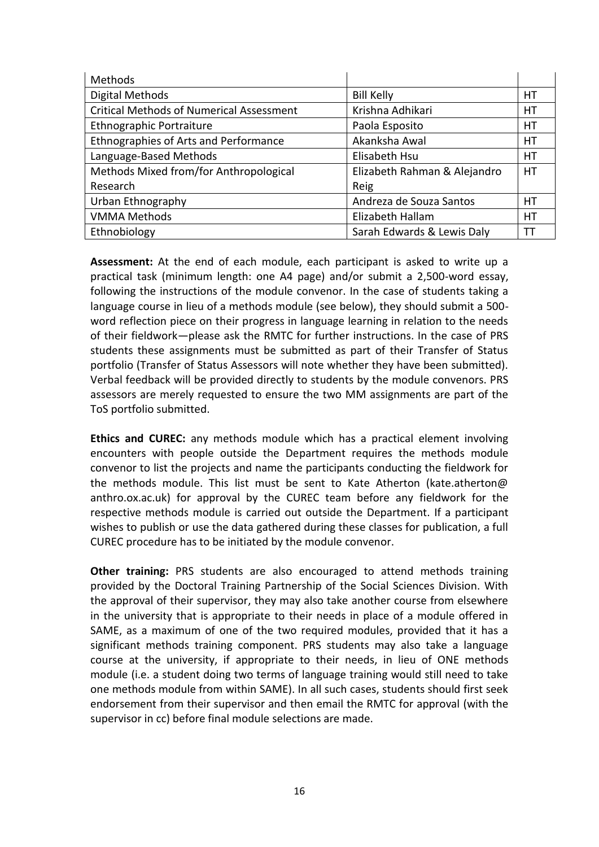| Methods                                         |                              |    |
|-------------------------------------------------|------------------------------|----|
| <b>Digital Methods</b>                          | <b>Bill Kelly</b>            | HT |
| <b>Critical Methods of Numerical Assessment</b> | Krishna Adhikari             | НT |
| Ethnographic Portraiture                        | Paola Esposito               | HТ |
| Ethnographies of Arts and Performance           | Akanksha Awal                | НT |
| Language-Based Methods                          | Elisabeth Hsu                | НT |
| Methods Mixed from/for Anthropological          | Elizabeth Rahman & Alejandro | HT |
| Research                                        | Reig                         |    |
| Urban Ethnography                               | Andreza de Souza Santos      | HТ |
| <b>VMMA Methods</b>                             | Elizabeth Hallam             | НT |
| Ethnobiology                                    | Sarah Edwards & Lewis Daly   | П  |

**Assessment:** At the end of each module, each participant is asked to write up a practical task (minimum length: one A4 page) and/or submit a 2,500-word essay, following the instructions of the module convenor. In the case of students taking a language course in lieu of a methods module (see below), they should submit a 500 word reflection piece on their progress in language learning in relation to the needs of their fieldwork—please ask the RMTC for further instructions. In the case of PRS students these assignments must be submitted as part of their Transfer of Status portfolio (Transfer of Status Assessors will note whether they have been submitted). Verbal feedback will be provided directly to students by the module convenors. PRS assessors are merely requested to ensure the two MM assignments are part of the ToS portfolio submitted.

**Ethics and CUREC:** any methods module which has a practical element involving encounters with people outside the Department requires the methods module convenor to list the projects and name the participants conducting the fieldwork for the methods module. This list must be sent to Kate Atherton (kate.atherton@ anthro.ox.ac.uk) for approval by the CUREC team before any fieldwork for the respective methods module is carried out outside the Department. If a participant wishes to publish or use the data gathered during these classes for publication, a full CUREC procedure has to be initiated by the module convenor.

**Other training:** PRS students are also encouraged to attend methods training provided by the Doctoral Training Partnership of the Social Sciences Division. With the approval of their supervisor, they may also take another course from elsewhere in the university that is appropriate to their needs in place of a module offered in SAME, as a maximum of one of the two required modules, provided that it has a significant methods training component. PRS students may also take a language course at the university, if appropriate to their needs, in lieu of ONE methods module (i.e. a student doing two terms of language training would still need to take one methods module from within SAME). In all such cases, students should first seek endorsement from their supervisor and then email the RMTC for approval (with the supervisor in cc) before final module selections are made.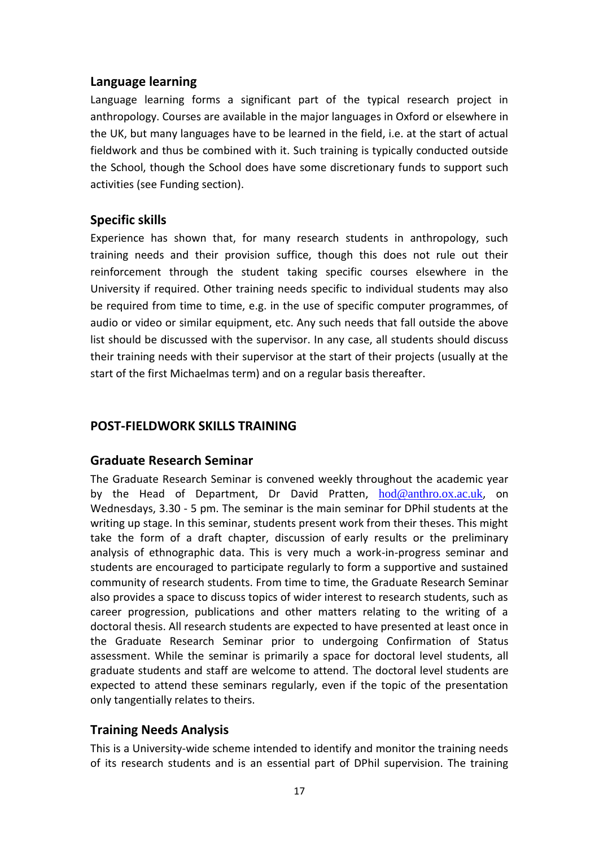### <span id="page-16-0"></span>**Language learning**

Language learning forms a significant part of the typical research project in anthropology. Courses are available in the major languages in Oxford or elsewhere in the UK, but many languages have to be learned in the field, i.e. at the start of actual fieldwork and thus be combined with it. Such training is typically conducted outside the School, though the School does have some discretionary funds to support such activities (see Funding section).

# <span id="page-16-1"></span>**Specific skills**

Experience has shown that, for many research students in anthropology, such training needs and their provision suffice, though this does not rule out their reinforcement through the student taking specific courses elsewhere in the University if required. Other training needs specific to individual students may also be required from time to time, e.g. in the use of specific computer programmes, of audio or video or similar equipment, etc. Any such needs that fall outside the above list should be discussed with the supervisor. In any case, all students should discuss their training needs with their supervisor at the start of their projects (usually at the start of the first Michaelmas term) and on a regular basis thereafter.

# <span id="page-16-2"></span>**POST-FIELDWORK SKILLS TRAINING**

### <span id="page-16-3"></span>**Graduate Research Seminar**

The Graduate Research Seminar is convened weekly throughout the academic year by the Head of Department, Dr David Pratten, [hod@anthro.ox.ac.uk](mailto:hod@anthro.ox.ac.uk), on Wednesdays, 3.30 - 5 pm. The seminar is the main seminar for DPhil students at the writing up stage. In this seminar, students present work from their theses. This might take the form of a draft chapter, discussion of early results or the preliminary analysis of ethnographic data. This is very much a work-in-progress seminar and students are encouraged to participate regularly to form a supportive and sustained community of research students. From time to time, the Graduate Research Seminar also provides a space to discuss topics of wider interest to research students, such as career progression, publications and other matters relating to the writing of a doctoral thesis. All research students are expected to have presented at least once in the Graduate Research Seminar prior to undergoing Confirmation of Status assessment. While the seminar is primarily a space for doctoral level students, all graduate students and staff are welcome to attend. The doctoral level students are expected to attend these seminars regularly, even if the topic of the presentation only tangentially relates to theirs.

# <span id="page-16-4"></span>**Training Needs Analysis**

This is a University-wide scheme intended to identify and monitor the training needs of its research students and is an essential part of DPhil supervision. The training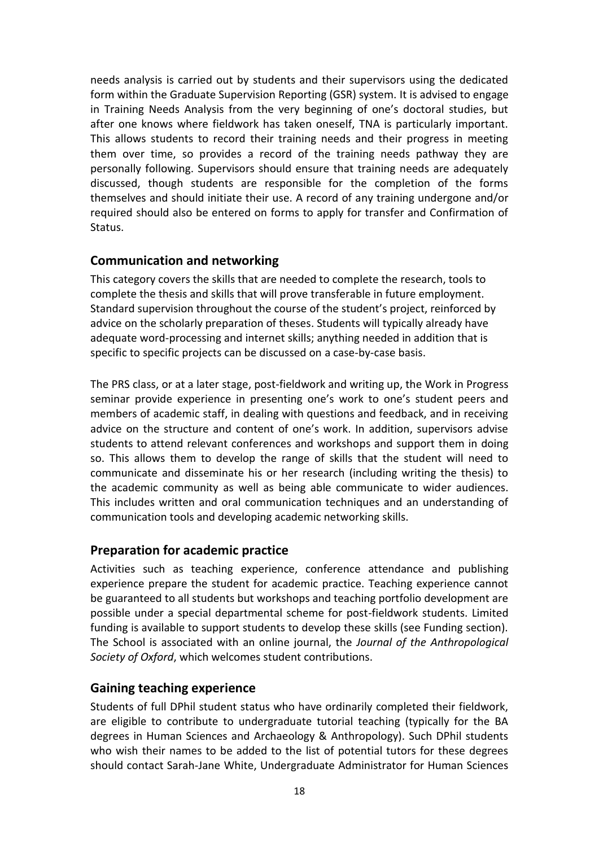needs analysis is carried out by students and their supervisors using the dedicated form within the Graduate Supervision Reporting (GSR) system. It is advised to engage in Training Needs Analysis from the very beginning of one's doctoral studies, but after one knows where fieldwork has taken oneself, TNA is particularly important. This allows students to record their training needs and their progress in meeting them over time, so provides a record of the training needs pathway they are personally following. Supervisors should ensure that training needs are adequately discussed, though students are responsible for the completion of the forms themselves and should initiate their use. A record of any training undergone and/or required should also be entered on forms to apply for transfer and Confirmation of Status.

### <span id="page-17-0"></span>**Communication and networking**

This category covers the skills that are needed to complete the research, tools to complete the thesis and skills that will prove transferable in future employment. Standard supervision throughout the course of the student's project, reinforced by advice on the scholarly preparation of theses. Students will typically already have adequate word-processing and internet skills; anything needed in addition that is specific to specific projects can be discussed on a case-by-case basis.

The PRS class, or at a later stage, post-fieldwork and writing up, the Work in Progress seminar provide experience in presenting one's work to one's student peers and members of academic staff, in dealing with questions and feedback, and in receiving advice on the structure and content of one's work. In addition, supervisors advise students to attend relevant conferences and workshops and support them in doing so. This allows them to develop the range of skills that the student will need to communicate and disseminate his or her research (including writing the thesis) to the academic community as well as being able communicate to wider audiences. This includes written and oral communication techniques and an understanding of communication tools and developing academic networking skills.

### <span id="page-17-1"></span>**Preparation for academic practice**

Activities such as teaching experience, conference attendance and publishing experience prepare the student for academic practice. Teaching experience cannot be guaranteed to all students but workshops and teaching portfolio development are possible under a special departmental scheme for post-fieldwork students. Limited funding is available to support students to develop these skills (see Funding section). The School is associated with an online journal, the *Journal of the Anthropological Society of Oxford*, which welcomes student contributions.

# <span id="page-17-2"></span>**Gaining teaching experience**

Students of full DPhil student status who have ordinarily completed their fieldwork, are eligible to contribute to undergraduate tutorial teaching (typically for the BA degrees in Human Sciences and Archaeology & Anthropology). Such DPhil students who wish their names to be added to the list of potential tutors for these degrees should contact Sarah-Jane White, Undergraduate Administrator for Human Sciences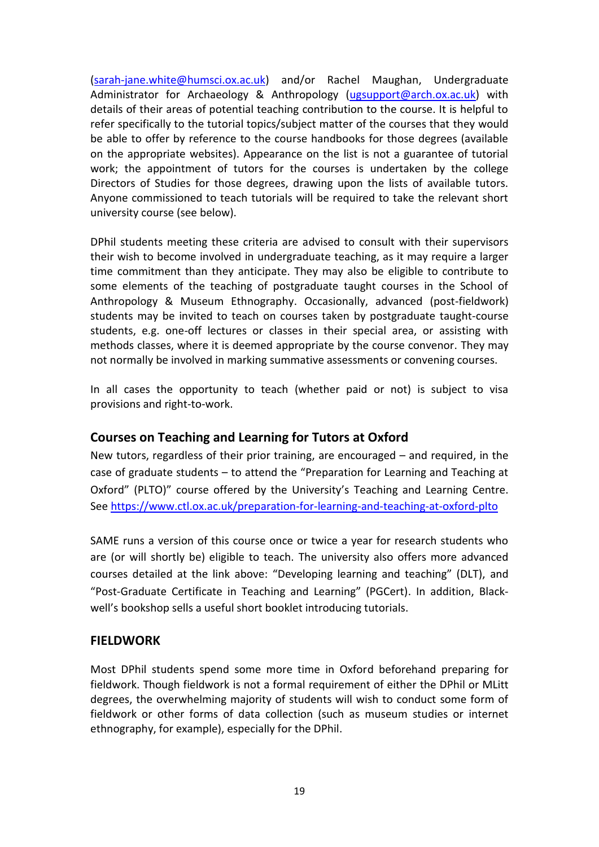[\(sarah-jane.white@humsci.ox.ac.uk\)](mailto:sarah-jane.white@humsci.ox.ac.uk) and/or Rachel Maughan, Undergraduate Administrator for Archaeology & Anthropology [\(ugsupport@arch.ox.ac.uk\)](mailto:ugsupport@arch.ox.ac.uk) with details of their areas of potential teaching contribution to the course. It is helpful to refer specifically to the tutorial topics/subject matter of the courses that they would be able to offer by reference to the course handbooks for those degrees (available on the appropriate websites). Appearance on the list is not a guarantee of tutorial work; the appointment of tutors for the courses is undertaken by the college Directors of Studies for those degrees, drawing upon the lists of available tutors. Anyone commissioned to teach tutorials will be required to take the relevant short university course (see below).

DPhil students meeting these criteria are advised to consult with their supervisors their wish to become involved in undergraduate teaching, as it may require a larger time commitment than they anticipate. They may also be eligible to contribute to some elements of the teaching of postgraduate taught courses in the School of Anthropology & Museum Ethnography. Occasionally, advanced (post-fieldwork) students may be invited to teach on courses taken by postgraduate taught-course students, e.g. one-off lectures or classes in their special area, or assisting with methods classes, where it is deemed appropriate by the course convenor. They may not normally be involved in marking summative assessments or convening courses.

In all cases the opportunity to teach (whether paid or not) is subject to visa provisions and right-to-work.

### <span id="page-18-0"></span>**Courses on Teaching and Learning for Tutors at Oxford**

New tutors, regardless of their prior training, are encouraged – and required, in the case of graduate students – to attend the "Preparation for Learning and Teaching at Oxford" (PLTO)" course offered by the University's Teaching and Learning Centre. See<https://www.ctl.ox.ac.uk/preparation-for-learning-and-teaching-at-oxford-plto>

SAME runs a version of this course once or twice a year for research students who are (or will shortly be) eligible to teach. The university also offers more advanced courses detailed at the link above: "Developing learning and teaching" (DLT), and "Post-Graduate Certificate in Teaching and Learning" (PGCert). In addition, Blackwell's bookshop sells a useful short booklet introducing tutorials.

### <span id="page-18-1"></span>**FIELDWORK**

Most DPhil students spend some more time in Oxford beforehand preparing for fieldwork. Though fieldwork is not a formal requirement of either the DPhil or MLitt degrees, the overwhelming majority of students will wish to conduct some form of fieldwork or other forms of data collection (such as museum studies or internet ethnography, for example), especially for the DPhil.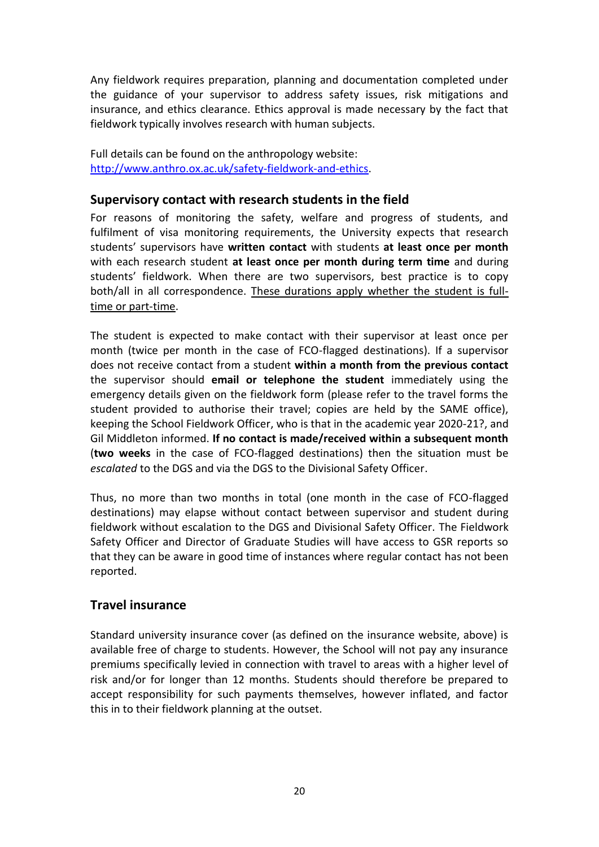Any fieldwork requires preparation, planning and documentation completed under the guidance of your supervisor to address safety issues, risk mitigations and insurance, and ethics clearance. Ethics approval is made necessary by the fact that fieldwork typically involves research with human subjects.

Full details can be found on the anthropology website: [http://www.anthro.ox.ac.uk/safety-fieldwork-and-ethics.](http://www.anthro.ox.ac.uk/safety-fieldwork-and-ethics)

### <span id="page-19-0"></span>**Supervisory contact with research students in the field**

For reasons of monitoring the safety, welfare and progress of students, and fulfilment of visa monitoring requirements, the University expects that research students' supervisors have **written contact** with students **at least once per month** with each research student **at least once per month during term time** and during students' fieldwork. When there are two supervisors, best practice is to copy both/all in all correspondence. These durations apply whether the student is fulltime or part-time.

The student is expected to make contact with their supervisor at least once per month (twice per month in the case of FCO-flagged destinations). If a supervisor does not receive contact from a student **within a month from the previous contact** the supervisor should **email or telephone the student** immediately using the emergency details given on the fieldwork form (please refer to the travel forms the student provided to authorise their travel; copies are held by the SAME office), keeping the School Fieldwork Officer, who is that in the academic year 2020-21?, and Gil Middleton informed. **If no contact is made/received within a subsequent month** (**two weeks** in the case of FCO-flagged destinations) then the situation must be *escalated* to the DGS and via the DGS to the Divisional Safety Officer.

Thus, no more than two months in total (one month in the case of FCO-flagged destinations) may elapse without contact between supervisor and student during fieldwork without escalation to the DGS and Divisional Safety Officer. The Fieldwork Safety Officer and Director of Graduate Studies will have access to GSR reports so that they can be aware in good time of instances where regular contact has not been reported.

# <span id="page-19-1"></span>**Travel insurance**

Standard university insurance cover (as defined on the insurance website, above) is available free of charge to students. However, the School will not pay any insurance premiums specifically levied in connection with travel to areas with a higher level of risk and/or for longer than 12 months. Students should therefore be prepared to accept responsibility for such payments themselves, however inflated, and factor this in to their fieldwork planning at the outset.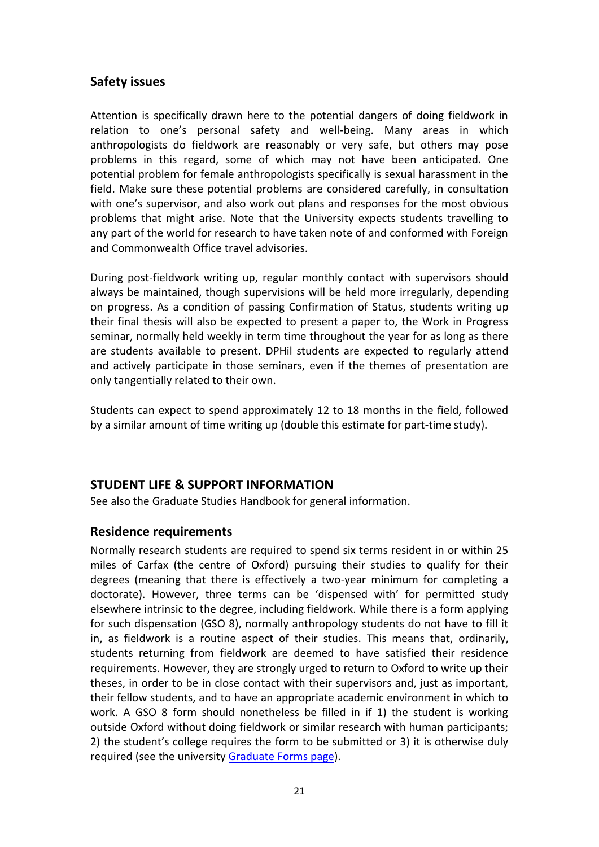# <span id="page-20-0"></span>**Safety issues**

Attention is specifically drawn here to the potential dangers of doing fieldwork in relation to one's personal safety and well-being. Many areas in which anthropologists do fieldwork are reasonably or very safe, but others may pose problems in this regard, some of which may not have been anticipated. One potential problem for female anthropologists specifically is sexual harassment in the field. Make sure these potential problems are considered carefully, in consultation with one's supervisor, and also work out plans and responses for the most obvious problems that might arise. Note that the University expects students travelling to any part of the world for research to have taken note of and conformed with Foreign and Commonwealth Office travel advisories.

During post-fieldwork writing up, regular monthly contact with supervisors should always be maintained, though supervisions will be held more irregularly, depending on progress. As a condition of passing Confirmation of Status, students writing up their final thesis will also be expected to present a paper to, the Work in Progress seminar, normally held weekly in term time throughout the year for as long as there are students available to present. DPHil students are expected to regularly attend and actively participate in those seminars, even if the themes of presentation are only tangentially related to their own.

Students can expect to spend approximately 12 to 18 months in the field, followed by a similar amount of time writing up (double this estimate for part-time study).

# <span id="page-20-1"></span>**STUDENT LIFE & SUPPORT INFORMATION**

See also the Graduate Studies Handbook for general information.

### <span id="page-20-2"></span>**Residence requirements**

Normally research students are required to spend six terms resident in or within 25 miles of Carfax (the centre of Oxford) pursuing their studies to qualify for their degrees (meaning that there is effectively a two-year minimum for completing a doctorate). However, three terms can be 'dispensed with' for permitted study elsewhere intrinsic to the degree, including fieldwork. While there is a form applying for such dispensation (GSO 8), normally anthropology students do not have to fill it in, as fieldwork is a routine aspect of their studies. This means that, ordinarily, students returning from fieldwork are deemed to have satisfied their residence requirements. However, they are strongly urged to return to Oxford to write up their theses, in order to be in close contact with their supervisors and, just as important, their fellow students, and to have an appropriate academic environment in which to work. A GSO 8 form should nonetheless be filled in if 1) the student is working outside Oxford without doing fieldwork or similar research with human participants; 2) the student's college requires the form to be submitted or 3) it is otherwise duly required (see the university [Graduate Forms page\)](https://www.ox.ac.uk/students/academic/guidance/graduate/progression).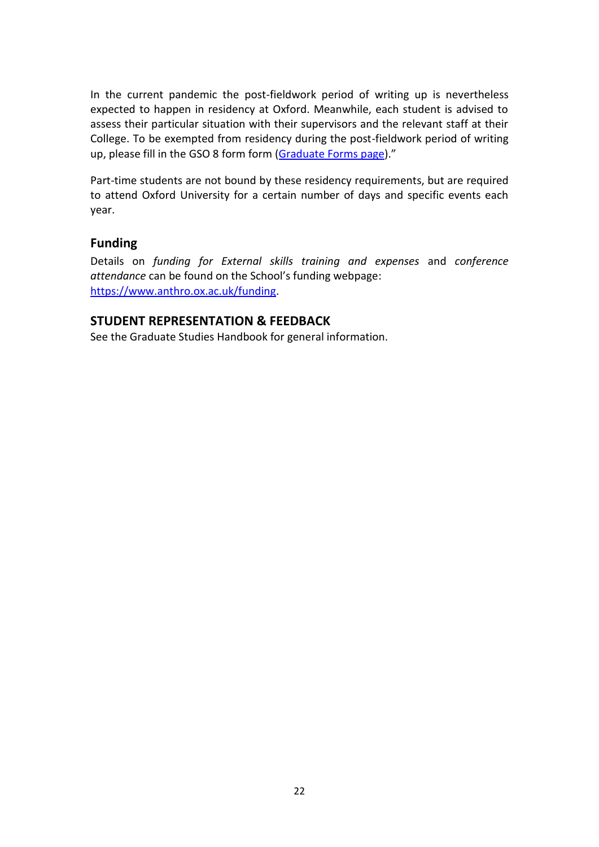In the current pandemic the post-fieldwork period of writing up is nevertheless expected to happen in residency at Oxford. Meanwhile, each student is advised to assess their particular situation with their supervisors and the relevant staff at their College. To be exempted from residency during the post-fieldwork period of writing up, please fill in the GSO 8 form form [\(Graduate Forms page\)](https://www.ox.ac.uk/students/academic/guidance/graduate/progression)."

Part-time students are not bound by these residency requirements, but are required to attend Oxford University for a certain number of days and specific events each year.

### <span id="page-21-0"></span>**Funding**

Details on *funding for External skills training and expenses* and *conference attendance* can be found on the School's funding webpage: [https://www.anthro.ox.ac.uk/funding.](https://www.anthro.ox.ac.uk/funding)

### <span id="page-21-1"></span>**STUDENT REPRESENTATION & FEEDBACK**

See the Graduate Studies Handbook for general information.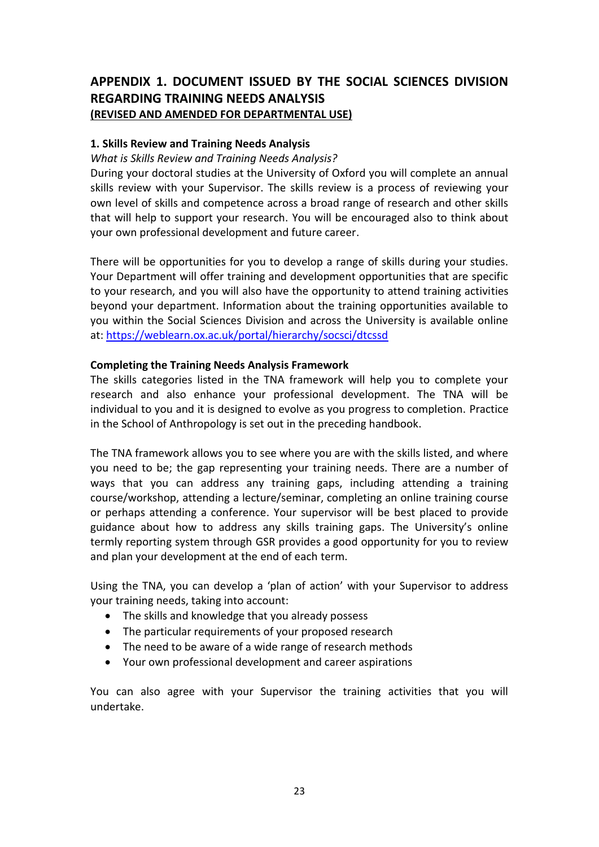# <span id="page-22-0"></span>**APPENDIX 1. DOCUMENT ISSUED BY THE SOCIAL SCIENCES DIVISION REGARDING TRAINING NEEDS ANALYSIS (REVISED AND AMENDED FOR DEPARTMENTAL USE)**

#### **1. Skills Review and Training Needs Analysis**

*What is Skills Review and Training Needs Analysis?*

During your doctoral studies at the University of Oxford you will complete an annual skills review with your Supervisor. The skills review is a process of reviewing your own level of skills and competence across a broad range of research and other skills that will help to support your research. You will be encouraged also to think about your own professional development and future career.

There will be opportunities for you to develop a range of skills during your studies. Your Department will offer training and development opportunities that are specific to your research, and you will also have the opportunity to attend training activities beyond your department. Information about the training opportunities available to you within the Social Sciences Division and across the University is available online at:<https://weblearn.ox.ac.uk/portal/hierarchy/socsci/dtcssd>

#### **Completing the Training Needs Analysis Framework**

The skills categories listed in the TNA framework will help you to complete your research and also enhance your professional development. The TNA will be individual to you and it is designed to evolve as you progress to completion. Practice in the School of Anthropology is set out in the preceding handbook.

The TNA framework allows you to see where you are with the skills listed, and where you need to be; the gap representing your training needs. There are a number of ways that you can address any training gaps, including attending a training course/workshop, attending a lecture/seminar, completing an online training course or perhaps attending a conference. Your supervisor will be best placed to provide guidance about how to address any skills training gaps. The University's online termly reporting system through GSR provides a good opportunity for you to review and plan your development at the end of each term.

Using the TNA, you can develop a 'plan of action' with your Supervisor to address your training needs, taking into account:

- The skills and knowledge that you already possess
- The particular requirements of your proposed research
- The need to be aware of a wide range of research methods
- Your own professional development and career aspirations

You can also agree with your Supervisor the training activities that you will undertake.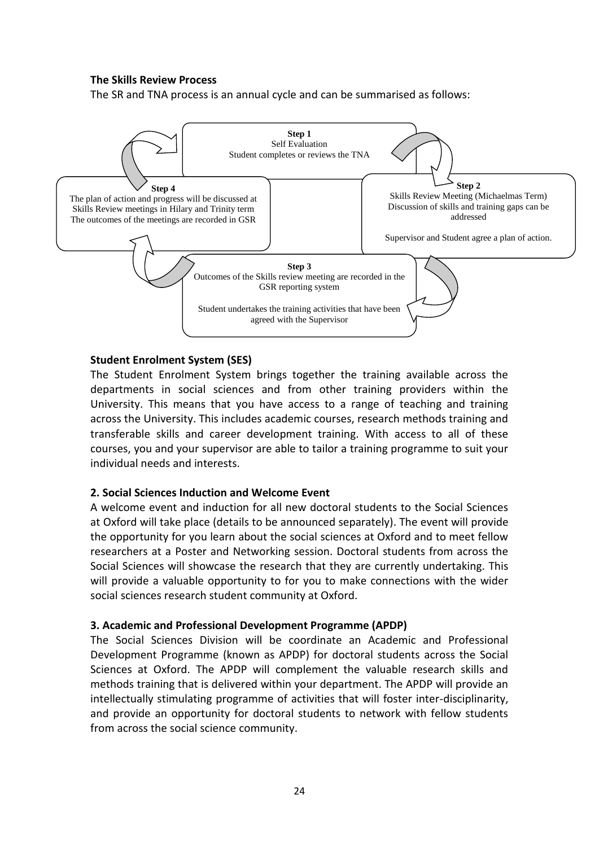#### **The Skills Review Process**

The SR and TNA process is an annual cycle and can be summarised as follows:



#### **Student Enrolment System (SES)**

The Student Enrolment System brings together the training available across the departments in social sciences and from other training providers within the University. This means that you have access to a range of teaching and training across the University. This includes academic courses, research methods training and transferable skills and career development training. With access to all of these courses, you and your supervisor are able to tailor a training programme to suit your individual needs and interests.

#### **2. Social Sciences Induction and Welcome Event**

A welcome event and induction for all new doctoral students to the Social Sciences at Oxford will take place (details to be announced separately). The event will provide the opportunity for you learn about the social sciences at Oxford and to meet fellow researchers at a Poster and Networking session. Doctoral students from across the Social Sciences will showcase the research that they are currently undertaking. This will provide a valuable opportunity to for you to make connections with the wider social sciences research student community at Oxford.

#### **3. Academic and Professional Development Programme (APDP)**

The Social Sciences Division will be coordinate an Academic and Professional Development Programme (known as APDP) for doctoral students across the Social Sciences at Oxford. The APDP will complement the valuable research skills and methods training that is delivered within your department. The APDP will provide an intellectually stimulating programme of activities that will foster inter-disciplinarity, and provide an opportunity for doctoral students to network with fellow students from across the social science community.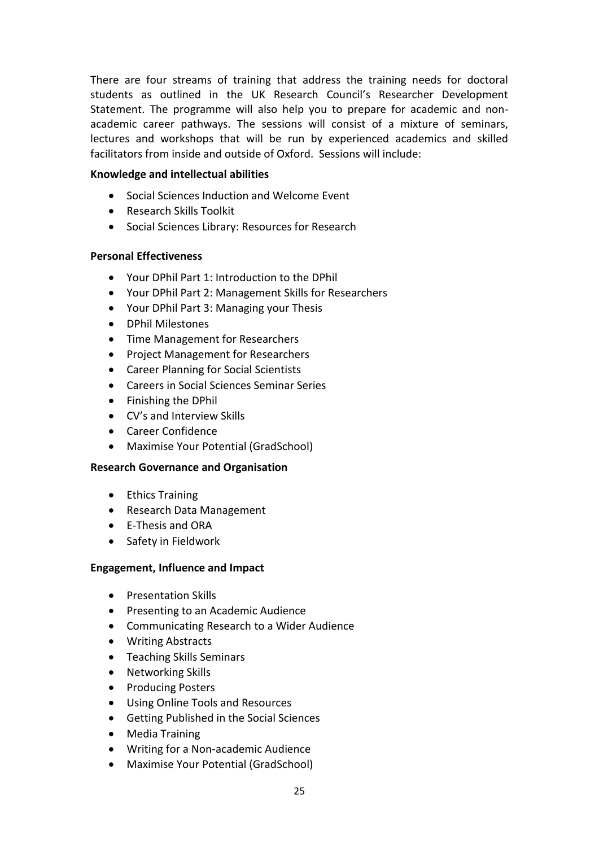There are four streams of training that address the training needs for doctoral students as outlined in the UK Research Council's Researcher Development Statement. The programme will also help you to prepare for academic and nonacademic career pathways. The sessions will consist of a mixture of seminars, lectures and workshops that will be run by experienced academics and skilled facilitators from inside and outside of Oxford. Sessions will include:

#### **Knowledge and intellectual abilities**

- Social Sciences Induction and Welcome Event
- Research Skills Toolkit
- **•** Social Sciences Library: Resources for Research

#### **Personal Effectiveness**

- Your DPhil Part 1: Introduction to the DPhil
- Your DPhil Part 2: Management Skills for Researchers
- Your DPhil Part 3: Managing your Thesis
- DPhil Milestones
- Time Management for Researchers
- Project Management for Researchers
- Career Planning for Social Scientists
- Careers in Social Sciences Seminar Series
- Finishing the DPhil
- CV's and Interview Skills
- Career Confidence
- Maximise Your Potential (GradSchool)

#### **Research Governance and Organisation**

- Ethics Training
- Research Data Management
- E-Thesis and ORA
- Safety in Fieldwork

#### **Engagement, Influence and Impact**

- Presentation Skills
- Presenting to an Academic Audience
- Communicating Research to a Wider Audience
- Writing Abstracts
- Teaching Skills Seminars
- Networking Skills
- Producing Posters
- Using Online Tools and Resources
- Getting Published in the Social Sciences
- Media Training
- Writing for a Non-academic Audience
- Maximise Your Potential (GradSchool)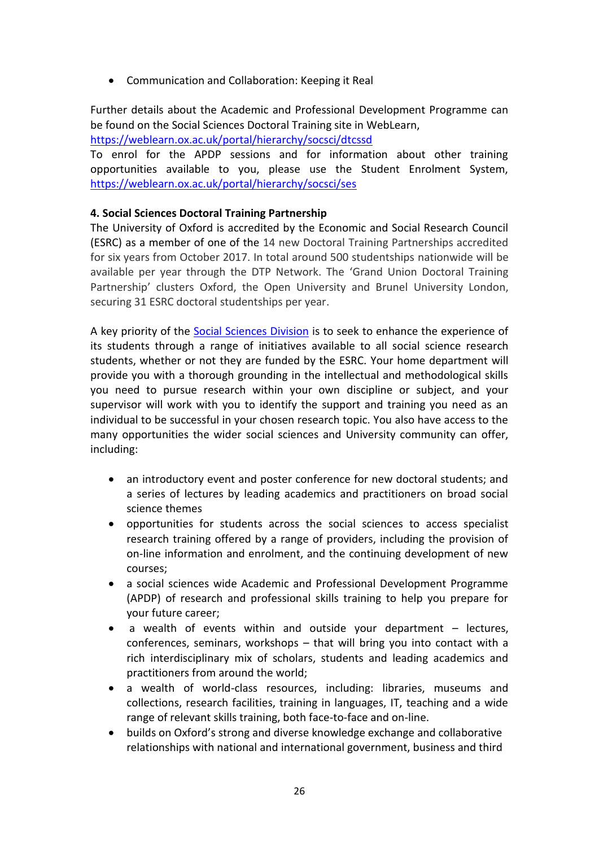Communication and Collaboration: Keeping it Real

Further details about the Academic and Professional Development Programme can be found on the Social Sciences Doctoral Training site in WebLearn,

<https://weblearn.ox.ac.uk/portal/hierarchy/socsci/dtcssd>

To enrol for the APDP sessions and for information about other training opportunities available to you, please use the Student Enrolment System, <https://weblearn.ox.ac.uk/portal/hierarchy/socsci/ses>

### **4. Social Sciences Doctoral Training Partnership**

The University of Oxford is accredited by the Economic and Social Research Council (ESRC) as a member of one of the 14 new Doctoral Training Partnerships accredited for six years from October 2017. In total around 500 studentships nationwide will be available per year through the DTP Network. The 'Grand Union Doctoral Training Partnership' clusters Oxford, the Open University and Brunel University London, securing 31 ESRC doctoral studentships per year.

A key priority of the [Social Sciences Division](http://www.socsci.ox.ac.uk/) is to seek to enhance the experience of its students through a range of initiatives available to all social science research students, whether or not they are funded by the ESRC. Your home department will provide you with a thorough grounding in the intellectual and methodological skills you need to pursue research within your own discipline or subject, and your supervisor will work with you to identify the support and training you need as an individual to be successful in your chosen research topic. You also have access to the many opportunities the wider social sciences and University community can offer, including:

- an introductory event and poster conference for new doctoral students; and a series of lectures by leading academics and practitioners on broad social science themes
- opportunities for students across the social sciences to access specialist research training offered by a range of providers, including the provision of on-line information and enrolment, and the continuing development of new courses;
- a social sciences wide Academic and Professional Development Programme (APDP) of research and professional skills training to help you prepare for your future career;
- a wealth of events within and outside your department lectures, conferences, seminars, workshops – that will bring you into contact with a rich interdisciplinary mix of scholars, students and leading academics and practitioners from around the world;
- a wealth of world-class resources, including: libraries, museums and collections, research facilities, training in languages, IT, teaching and a wide range of relevant skills training, both face-to-face and on-line.
- builds on Oxford's strong and diverse knowledge exchange and collaborative relationships with national and international government, business and third